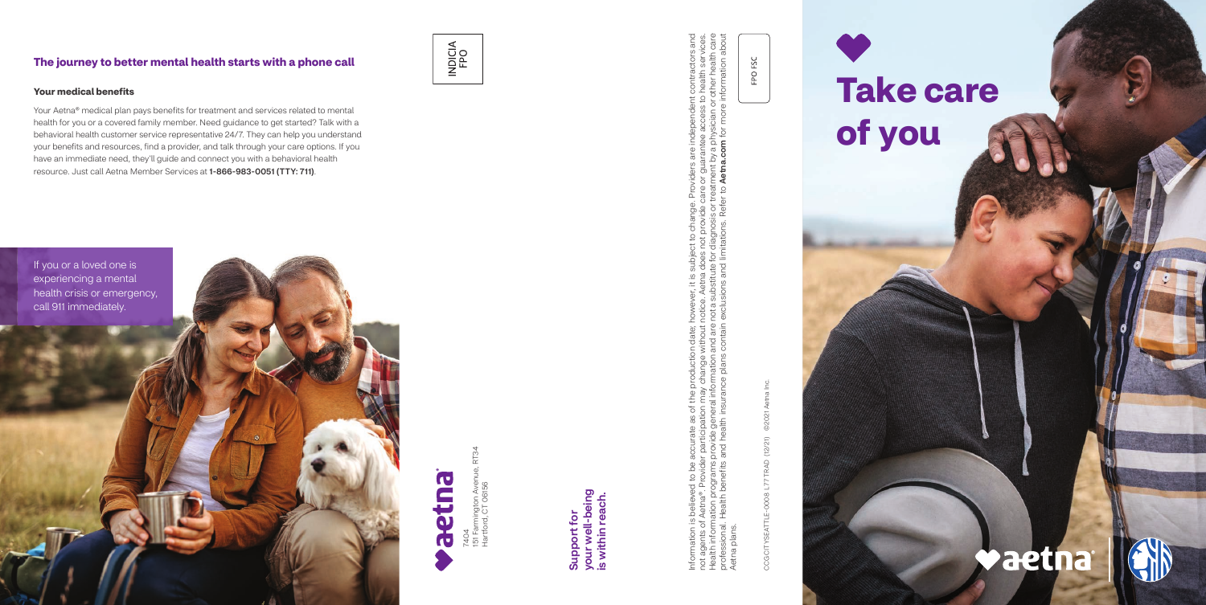7404<br>151 Farmington Aven<br>Hartford, CT 06156 151 Farmington Avenue, RT34 Hartford, CT 06156

Information is believed to be accurate as of the production date; however, it is subject to change. Providers are independent contractors and not agents of Aetna®. Provider participation may change without notice. Aetna does not provide care or guarantee access to health services. Health information programs provide general information and are not a substitute for diagnosis or treatment by a physician or other health care professional. Health benefits and health insurance plans contain exclusions and limitations. Refer to Aetna.com for more information about ge. Providers are independent contractors and<br>te care or guarantee access to health services.<br>or treatment by a physician or other health care<br>efer to **Aetna.com** for more information about Joject to change. Provi<br>loes not provide care o<br>a for diagnosis or treatm<br>1 limitations. Refer to **A** ever, it is subj<br>be. Aetna doe<br>a substitute fc<br>lusions and li Information is believed to be accurate as of the production date; howe<br>not agents of Aetna®. Provider participation may change without notice<br>Health information programs provide general information and are not a<br>profession Aetna plans. plans Aetna

your well-being<br>is within reach. your well-being is within reach. Support for Support for

CCG CITYSEATTLE-0008 L77 TRAD (12/21) ©2021 Aetna Inc. **©2021** CCG CITYSEATTLE-0008 L77 TRAD (12/21)

FPO FSC

#### **The journey to better mental health starts with a phone call**

# INDICIA<br>FPO





#### **Your medical benefits**

Your Aetna® medical plan pays benefits for treatment and services related to mental health for you or a covered family member. Need guidance to get started? Talk with a behavioral health customer service representative 24/7. They can help you understand your benefits and resources, find a provider, and talk through your care options. If you have an immediate need, they'll guide and connect you with a behavioral health resource. Just call Aetna Member Services at 1-866-983-0051 (TTY: 711).

## **Take care of you**

### **Vaetna**